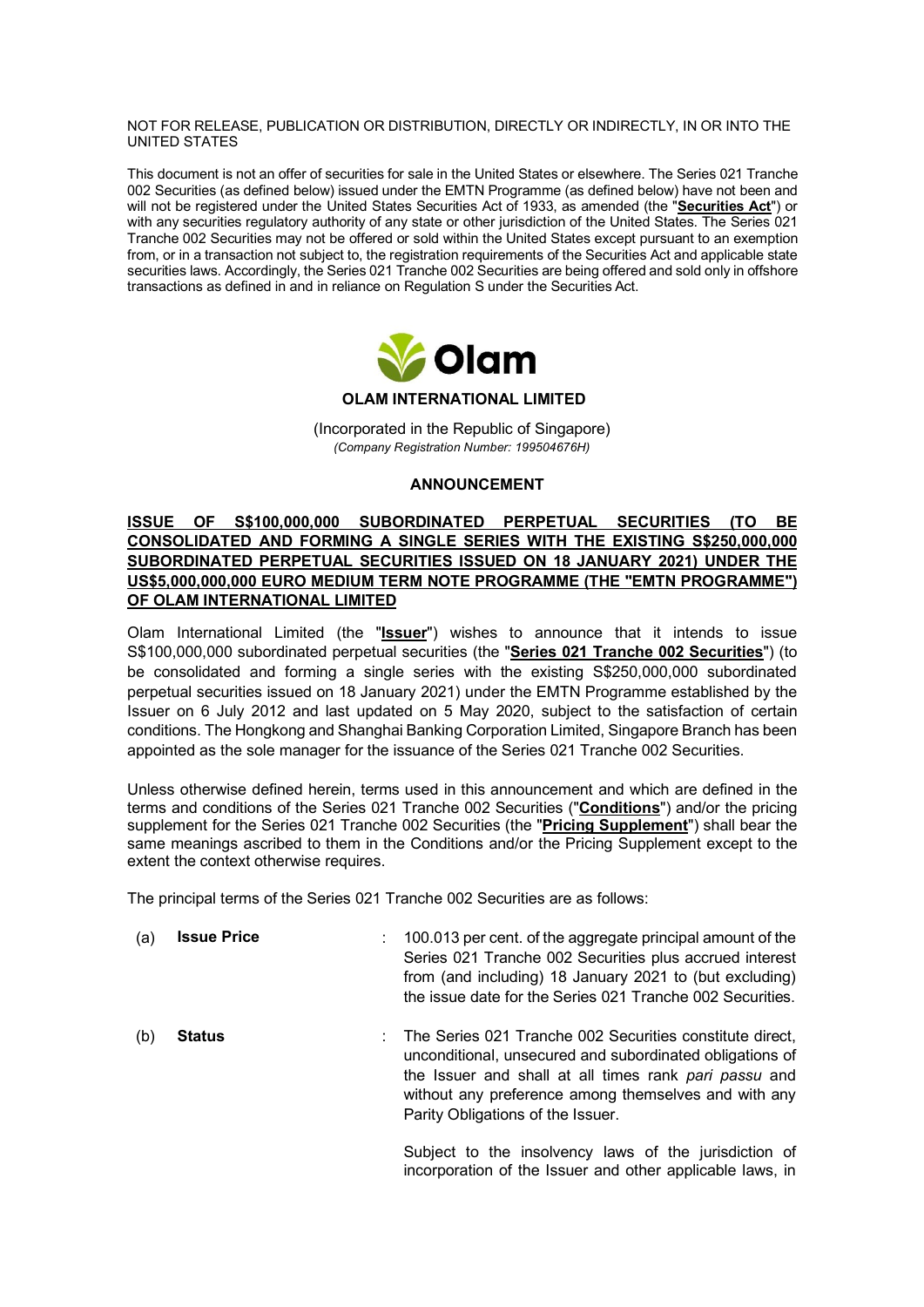#### NOT FOR RELEASE, PUBLICATION OR DISTRIBUTION, DIRECTLY OR INDIRECTLY, IN OR INTO THE UNITED STATES

This document is not an offer of securities for sale in the United States or elsewhere. The Series 021 Tranche 002 Securities (as defined below) issued under the EMTN Programme (as defined below) have not been and will not be registered under the United States Securities Act of 1933, as amended (the "**Securities Act**") or with any securities regulatory authority of any state or other jurisdiction of the United States. The Series 021 Tranche 002 Securities may not be offered or sold within the United States except pursuant to an exemption from, or in a transaction not subject to, the registration requirements of the Securities Act and applicable state securities laws. Accordingly, the Series 021 Tranche 002 Securities are being offered and sold only in offshore transactions as defined in and in reliance on Regulation S under the Securities Act.



## **OLAM INTERNATIONAL LIMITED**

(Incorporated in the Republic of Singapore) *(Company Registration Number: 199504676H)*

### **ANNOUNCEMENT**

# **ISSUE OF S\$100,000,000 SUBORDINATED PERPETUAL SECURITIES (TO BE CONSOLIDATED AND FORMING A SINGLE SERIES WITH THE EXISTING S\$250,000,000 SUBORDINATED PERPETUAL SECURITIES ISSUED ON 18 JANUARY 2021) UNDER THE US\$5,000,000,000 EURO MEDIUM TERM NOTE PROGRAMME (THE "EMTN PROGRAMME") OF OLAM INTERNATIONAL LIMITED**

Olam International Limited (the "**Issuer**") wishes to announce that it intends to issue S\$100,000,000 subordinated perpetual securities (the "**Series 021 Tranche 002 Securities**") (to be consolidated and forming a single series with the existing S\$250,000,000 subordinated perpetual securities issued on 18 January 2021) under the EMTN Programme established by the Issuer on 6 July 2012 and last updated on 5 May 2020, subject to the satisfaction of certain conditions. The Hongkong and Shanghai Banking Corporation Limited, Singapore Branch has been appointed as the sole manager for the issuance of the Series 021 Tranche 002 Securities.

Unless otherwise defined herein, terms used in this announcement and which are defined in the terms and conditions of the Series 021 Tranche 002 Securities ("**Conditions**") and/or the pricing supplement for the Series 021 Tranche 002 Securities (the "**Pricing Supplement**") shall bear the same meanings ascribed to them in the Conditions and/or the Pricing Supplement except to the extent the context otherwise requires.

The principal terms of the Series 021 Tranche 002 Securities are as follows:

| (a)<br><b>Issue Price</b> | $\therefore$ 100.013 per cent. of the aggregate principal amount of the |
|---------------------------|-------------------------------------------------------------------------|
|                           | Series 021 Tranche 002 Securities plus accrued interest                 |
|                           | from (and including) 18 January 2021 to (but excluding)                 |
|                           | the issue date for the Series 021 Tranche 002 Securities.               |
|                           |                                                                         |

(b) **Status** : The Series 021 Tranche 002 Securities constitute direct, unconditional, unsecured and subordinated obligations of the Issuer and shall at all times rank *pari passu* and without any preference among themselves and with any Parity Obligations of the Issuer.

> Subject to the insolvency laws of the jurisdiction of incorporation of the Issuer and other applicable laws, in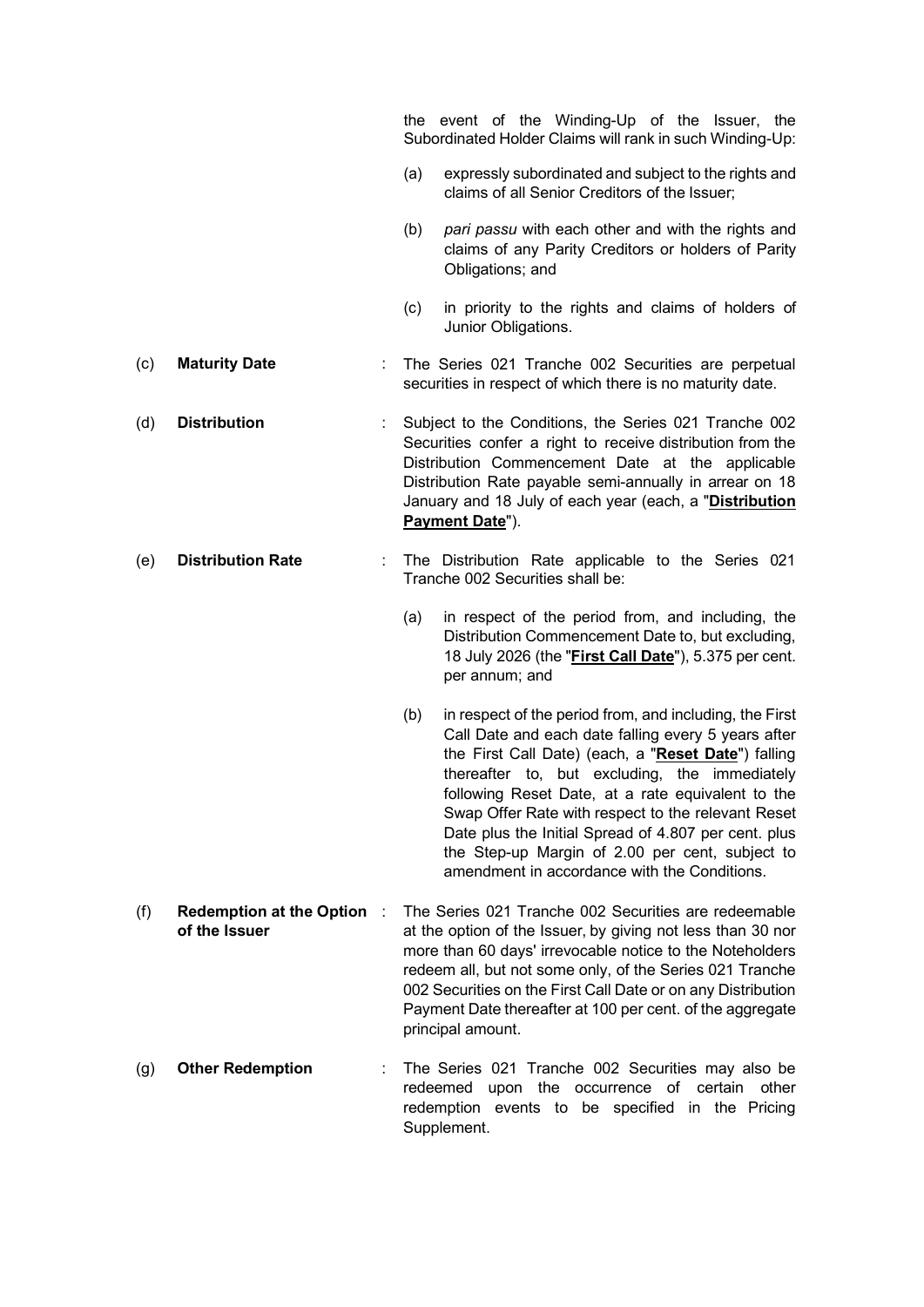the event of the Winding-Up of the Issuer, the Subordinated Holder Claims will rank in such Winding-Up:

- (a) expressly subordinated and subject to the rights and claims of all Senior Creditors of the Issuer;
- (b) *pari passu* with each other and with the rights and claims of any Parity Creditors or holders of Parity Obligations; and
- (c) in priority to the rights and claims of holders of Junior Obligations.
- (c) **Maturity Date** : The Series 021 Tranche 002 Securities are perpetual securities in respect of which there is no maturity date.
- (d) **Distribution** : Subject to the Conditions, the Series 021 Tranche 002 Securities confer a right to receive distribution from the Distribution Commencement Date at the applicable Distribution Rate payable semi-annually in arrear on 18 January and 18 July of each year (each, a "**Distribution Payment Date**").
- (e) **Distribution Rate** : The Distribution Rate applicable to the Series 021 Tranche 002 Securities shall be:
	- (a) in respect of the period from, and including, the Distribution Commencement Date to, but excluding, 18 July 2026 (the "**First Call Date**"), 5.375 per cent. per annum; and
	- (b) in respect of the period from, and including, the First Call Date and each date falling every 5 years after the First Call Date) (each, a "**Reset Date**") falling thereafter to, but excluding, the immediately following Reset Date, at a rate equivalent to the Swap Offer Rate with respect to the relevant Reset Date plus the Initial Spread of 4.807 per cent. plus the Step-up Margin of 2.00 per cent, subject to amendment in accordance with the Conditions.
- (f) **Redemption at the Option of the Issuer** : The Series 021 Tranche 002 Securities are redeemable at the option of the Issuer, by giving not less than 30 nor more than 60 days' irrevocable notice to the Noteholders redeem all, but not some only, of the Series 021 Tranche 002 Securities on the First Call Date or on any Distribution Payment Date thereafter at 100 per cent. of the aggregate principal amount.
- (g) **Other Redemption** : The Series 021 Tranche 002 Securities may also be redeemed upon the occurrence of certain other redemption events to be specified in the Pricing Supplement.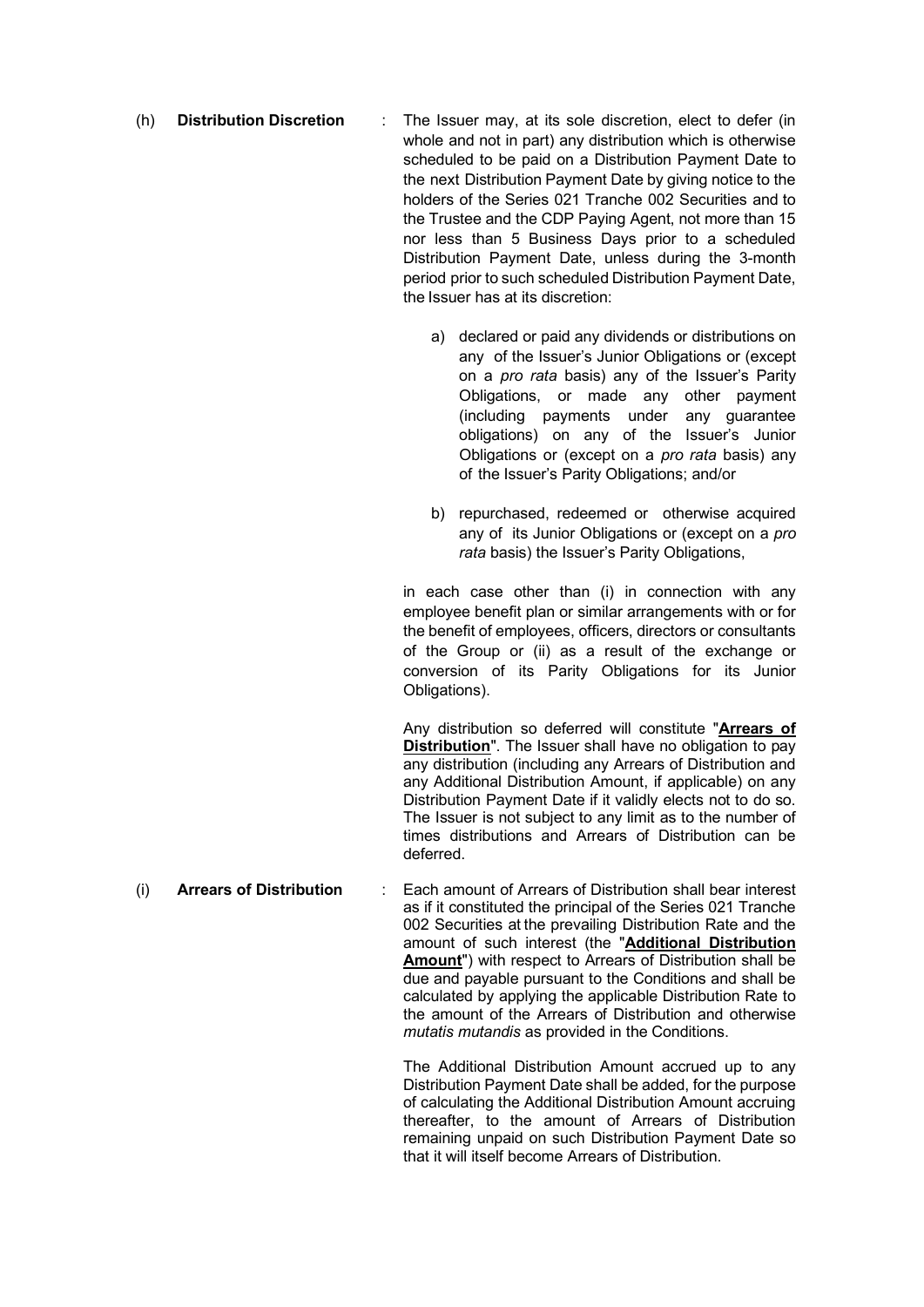- (h) **Distribution Discretion** : The Issuer may, at its sole discretion, elect to defer (in whole and not in part) any distribution which is otherwise scheduled to be paid on a Distribution Payment Date to the next Distribution Payment Date by giving notice to the holders of the Series 021 Tranche 002 Securities and to the Trustee and the CDP Paying Agent, not more than 15 nor less than 5 Business Days prior to a scheduled Distribution Payment Date, unless during the 3-month period prior to such scheduled Distribution Payment Date, the Issuer has at its discretion:
	- a) declared or paid any dividends or distributions on any of the Issuer's Junior Obligations or (except on a *pro rata* basis) any of the Issuer's Parity Obligations, or made any other payment (including payments under any guarantee obligations) on any of the Issuer's Junior Obligations or (except on a *pro rata* basis) any of the Issuer's Parity Obligations; and/or
	- b) repurchased, redeemed or otherwise acquired any of its Junior Obligations or (except on a *pro rata* basis) the Issuer's Parity Obligations,

in each case other than (i) in connection with any employee benefit plan or similar arrangements with or for the benefit of employees, officers, directors or consultants of the Group or (ii) as a result of the exchange or conversion of its Parity Obligations for its Junior Obligations).

Any distribution so deferred will constitute "**Arrears of Distribution**". The Issuer shall have no obligation to pay any distribution (including any Arrears of Distribution and any Additional Distribution Amount, if applicable) on any Distribution Payment Date if it validly elects not to do so. The Issuer is not subject to any limit as to the number of times distributions and Arrears of Distribution can be deferred.

(i) **Arrears of Distribution** : Each amount of Arrears of Distribution shall bear interest as if it constituted the principal of the Series 021 Tranche 002 Securities at the prevailing Distribution Rate and the amount of such interest (the "**Additional Distribution Amount**") with respect to Arrears of Distribution shall be due and payable pursuant to the Conditions and shall be calculated by applying the applicable Distribution Rate to the amount of the Arrears of Distribution and otherwise *mutatis mutandis* as provided in the Conditions.

> The Additional Distribution Amount accrued up to any Distribution Payment Date shall be added, for the purpose of calculating the Additional Distribution Amount accruing thereafter, to the amount of Arrears of Distribution remaining unpaid on such Distribution Payment Date so that it will itself become Arrears of Distribution.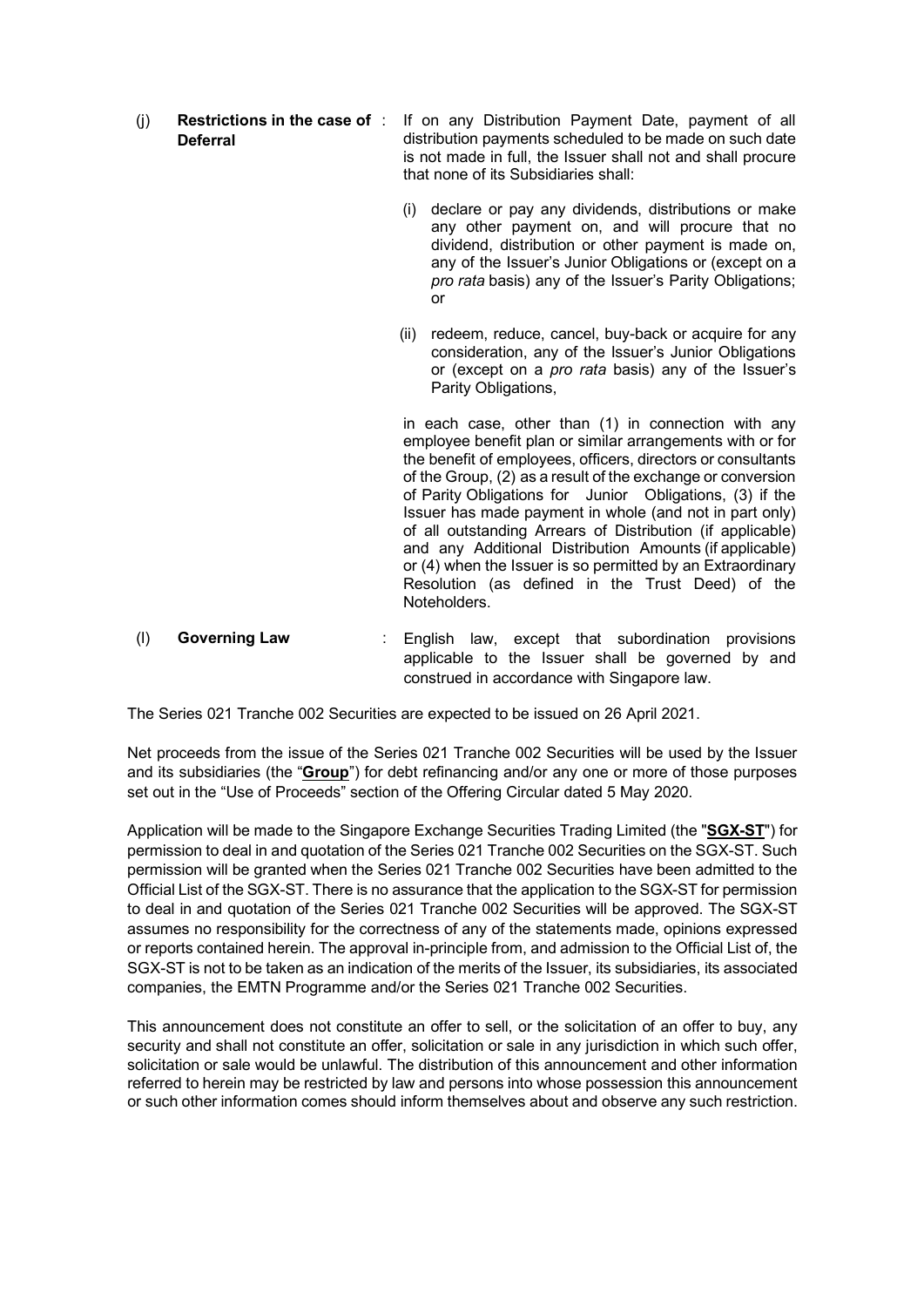- (j) **Restrictions in the case of Deferral** If on any Distribution Payment Date, payment of all distribution payments scheduled to be made on such date is not made in full, the Issuer shall not and shall procure that none of its Subsidiaries shall:
	- (i) declare or pay any dividends, distributions or make any other payment on, and will procure that no dividend, distribution or other payment is made on, any of the Issuer's Junior Obligations or (except on a *pro rata* basis) any of the Issuer's Parity Obligations; or
	- (ii) redeem, reduce, cancel, buy-back or acquire for any consideration, any of the Issuer's Junior Obligations or (except on a *pro rata* basis) any of the Issuer's Parity Obligations,

in each case, other than (1) in connection with any employee benefit plan or similar arrangements with or for the benefit of employees, officers, directors or consultants of the Group, (2) as a result of the exchange or conversion of Parity Obligations for Junior Obligations, (3) if the Issuer has made payment in whole (and not in part only) of all outstanding Arrears of Distribution (if applicable) and any Additional Distribution Amounts (if applicable) or (4) when the Issuer is so permitted by an Extraordinary Resolution (as defined in the Trust Deed) of the Noteholders.

(l) **Governing Law** : English law, except that subordination provisions applicable to the Issuer shall be governed by and construed in accordance with Singapore law.

The Series 021 Tranche 002 Securities are expected to be issued on 26 April 2021.

Net proceeds from the issue of the Series 021 Tranche 002 Securities will be used by the Issuer and its subsidiaries (the "**Group**") for debt refinancing and/or any one or more of those purposes set out in the "Use of Proceeds" section of the Offering Circular dated 5 May 2020.

Application will be made to the Singapore Exchange Securities Trading Limited (the "**SGX-ST**") for permission to deal in and quotation of the Series 021 Tranche 002 Securities on the SGX-ST. Such permission will be granted when the Series 021 Tranche 002 Securities have been admitted to the Official List of the SGX-ST. There is no assurance that the application to the SGX-ST for permission to deal in and quotation of the Series 021 Tranche 002 Securities will be approved. The SGX-ST assumes no responsibility for the correctness of any of the statements made, opinions expressed or reports contained herein. The approval in-principle from, and admission to the Official List of, the SGX-ST is not to be taken as an indication of the merits of the Issuer, its subsidiaries, its associated companies, the EMTN Programme and/or the Series 021 Tranche 002 Securities.

This announcement does not constitute an offer to sell, or the solicitation of an offer to buy, any security and shall not constitute an offer, solicitation or sale in any jurisdiction in which such offer, solicitation or sale would be unlawful. The distribution of this announcement and other information referred to herein may be restricted by law and persons into whose possession this announcement or such other information comes should inform themselves about and observe any such restriction.